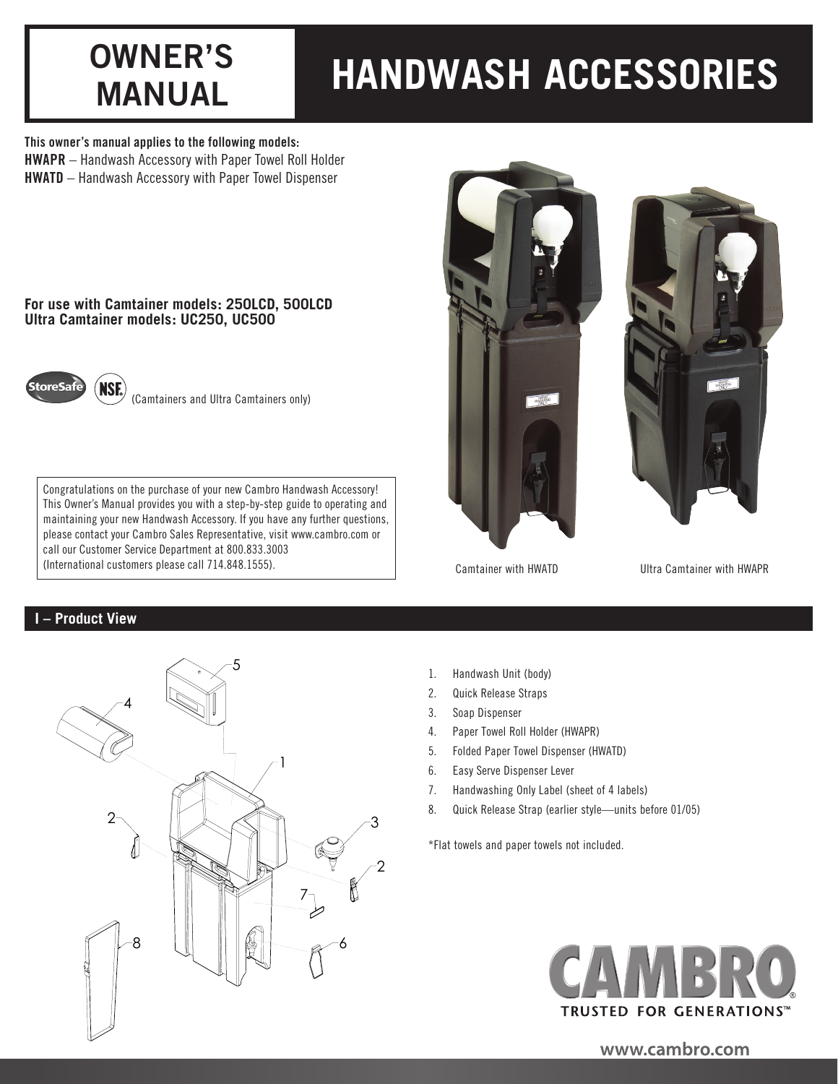# **OWNER'S**

## **MANUAL HANDWASH ACCESSORIES**

This owner's manual applies to the following models: HWAPR – Handwash Accessory with Paper Towel Roll Holder

HWATD – Handwash Accessory with Paper Towel Dispenser

## **For use with Camtainer models: 250LCD, 500LCD Ultra Camtainer models: UC250, UC500**



(Camtainers and Ultra Camtainers only)

Congratulations on the purchase of your new Cambro Handwash Accessory! This Owner's Manual provides you with a step-by-step guide to operating and maintaining your new Handwash Accessory. If you have any further questions, please contact your Cambro Sales Representative, visit www.cambro.com or call our Customer Service Department at 800.833.3003 (International customers please call 714.848.1555).

## **I – Product View**







Camtainer with HWATD

Ultra Camtainer with HWAPR

- 1. Handwash Unit (body)
- 2. Quick Release Straps
- 3. Soap Dispenser
- 4. Paper Towel Roll Holder (HWAPR)
- 5. Folded Paper Towel Dispenser (HWATD)
- 6. Easy Serve Dispenser Lever
- 7. Handwashing Only Label (sheet of 4 labels)
- 8. Quick Release Strap (earlier style—units before 01/05)

\*Flat towels and paper towels not included.



www.cambro.com